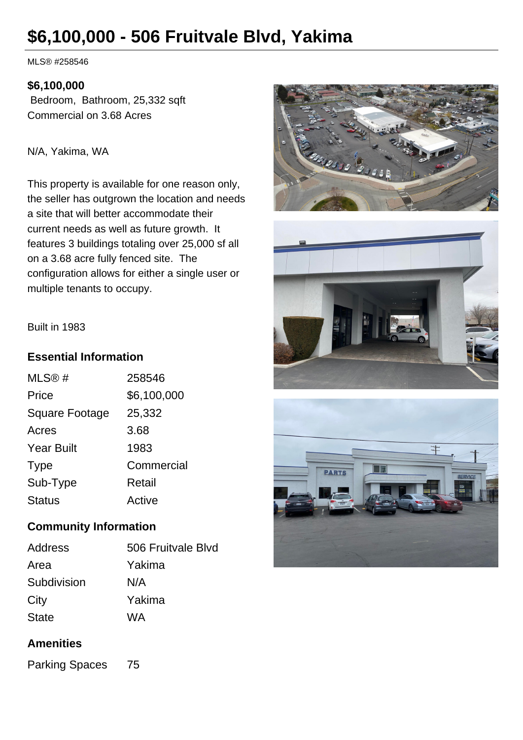# **\$6,100,000 - 506 Fruitvale Blvd, Yakima**

MLS® #258546

#### **\$6,100,000**

 Bedroom, Bathroom, 25,332 sqft Commercial on 3.68 Acres

N/A, Yakima, WA

This property is available for one reason only, the seller has outgrown the location and needs a site that will better accommodate their current needs as well as future growth. It features 3 buildings totaling over 25,000 sf all on a 3.68 acre fully fenced site. The configuration allows for either a single user or multiple tenants to occupy.







Built in 1983

## **Essential Information**

| MLS@#                 | 258546      |
|-----------------------|-------------|
| Price                 | \$6,100,000 |
| <b>Square Footage</b> | 25,332      |
| Acres                 | 3.68        |
| <b>Year Built</b>     | 1983        |
| <b>Type</b>           | Commercial  |
| Sub-Type              | Retail      |
| <b>Status</b>         | Active      |

# **Community Information**

| 506 Fruitvale Blvd |
|--------------------|
| Yakima             |
| N/A                |
| Yakima             |
| WA                 |
|                    |

# **Amenities**

Parking Spaces 75